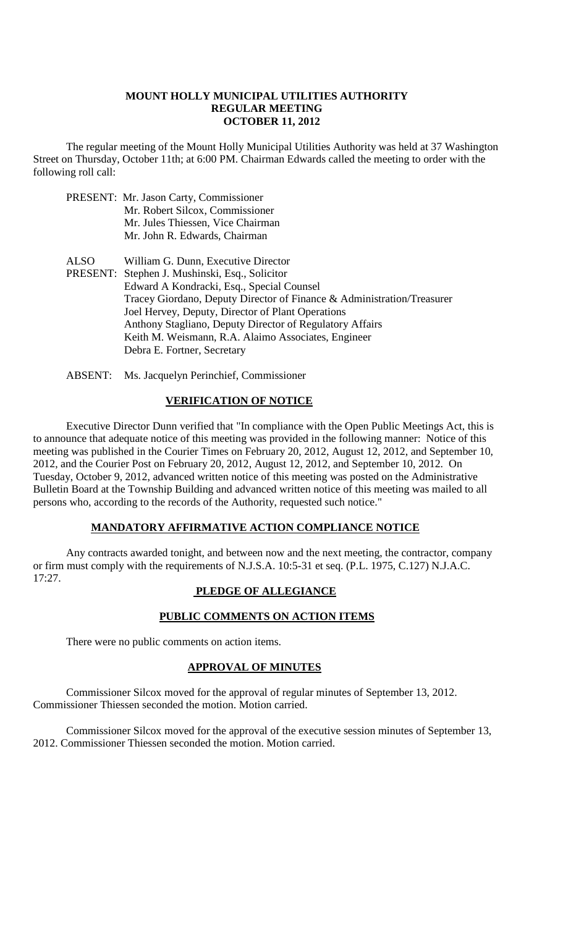#### **MOUNT HOLLY MUNICIPAL UTILITIES AUTHORITY REGULAR MEETING OCTOBER 11, 2012**

The regular meeting of the Mount Holly Municipal Utilities Authority was held at 37 Washington Street on Thursday, October 11th; at 6:00 PM. Chairman Edwards called the meeting to order with the following roll call:

PRESENT: Mr. Jason Carty, Commissioner Mr. Robert Silcox, Commissioner Mr. Jules Thiessen, Vice Chairman Mr. John R. Edwards, Chairman ALSO William G. Dunn, Executive Director PRESENT: Stephen J. Mushinski, Esq., Solicitor Edward A Kondracki, Esq., Special Counsel Tracey Giordano, Deputy Director of Finance & Administration/Treasurer Joel Hervey, Deputy, Director of Plant Operations Anthony Stagliano, Deputy Director of Regulatory Affairs Keith M. Weismann, R.A. Alaimo Associates, Engineer Debra E. Fortner, Secretary

ABSENT: Ms. Jacquelyn Perinchief, Commissioner

#### **VERIFICATION OF NOTICE**

Executive Director Dunn verified that "In compliance with the Open Public Meetings Act, this is to announce that adequate notice of this meeting was provided in the following manner: Notice of this meeting was published in the Courier Times on February 20, 2012, August 12, 2012, and September 10, 2012, and the Courier Post on February 20, 2012, August 12, 2012, and September 10, 2012. On Tuesday, October 9, 2012, advanced written notice of this meeting was posted on the Administrative Bulletin Board at the Township Building and advanced written notice of this meeting was mailed to all persons who, according to the records of the Authority, requested such notice."

#### **MANDATORY AFFIRMATIVE ACTION COMPLIANCE NOTICE**

Any contracts awarded tonight, and between now and the next meeting, the contractor, company or firm must comply with the requirements of N.J.S.A. 10:5-31 et seq. (P.L. 1975, C.127) N.J.A.C. 17:27.

# **PLEDGE OF ALLEGIANCE**

# **PUBLIC COMMENTS ON ACTION ITEMS**

There were no public comments on action items.

#### **APPROVAL OF MINUTES**

Commissioner Silcox moved for the approval of regular minutes of September 13, 2012. Commissioner Thiessen seconded the motion. Motion carried.

Commissioner Silcox moved for the approval of the executive session minutes of September 13, 2012. Commissioner Thiessen seconded the motion. Motion carried.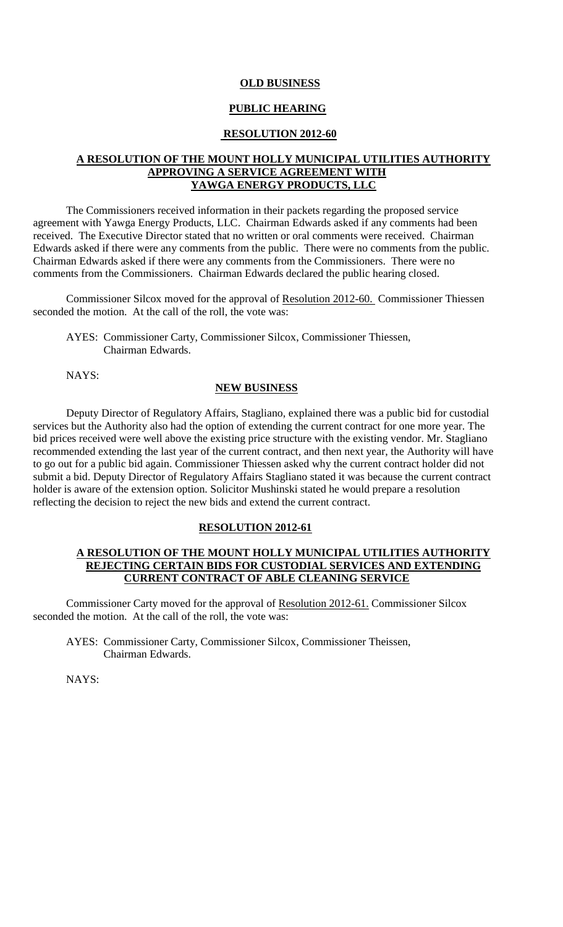#### **OLD BUSINESS**

# **PUBLIC HEARING**

#### **RESOLUTION 2012-60**

### **A RESOLUTION OF THE MOUNT HOLLY MUNICIPAL UTILITIES AUTHORITY APPROVING A SERVICE AGREEMENT WITH YAWGA ENERGY PRODUCTS, LLC**

The Commissioners received information in their packets regarding the proposed service agreement with Yawga Energy Products, LLC. Chairman Edwards asked if any comments had been received. The Executive Director stated that no written or oral comments were received. Chairman Edwards asked if there were any comments from the public. There were no comments from the public. Chairman Edwards asked if there were any comments from the Commissioners. There were no comments from the Commissioners. Chairman Edwards declared the public hearing closed.

Commissioner Silcox moved for the approval of Resolution 2012-60. Commissioner Thiessen seconded the motion. At the call of the roll, the vote was:

AYES: Commissioner Carty, Commissioner Silcox, Commissioner Thiessen, Chairman Edwards.

NAYS:

### **NEW BUSINESS**

Deputy Director of Regulatory Affairs, Stagliano, explained there was a public bid for custodial services but the Authority also had the option of extending the current contract for one more year. The bid prices received were well above the existing price structure with the existing vendor. Mr. Stagliano recommended extending the last year of the current contract, and then next year, the Authority will have to go out for a public bid again. Commissioner Thiessen asked why the current contract holder did not submit a bid. Deputy Director of Regulatory Affairs Stagliano stated it was because the current contract holder is aware of the extension option. Solicitor Mushinski stated he would prepare a resolution reflecting the decision to reject the new bids and extend the current contract.

#### **RESOLUTION 2012-61**

#### **A RESOLUTION OF THE MOUNT HOLLY MUNICIPAL UTILITIES AUTHORITY REJECTING CERTAIN BIDS FOR CUSTODIAL SERVICES AND EXTENDING CURRENT CONTRACT OF ABLE CLEANING SERVICE**

Commissioner Carty moved for the approval of Resolution 2012-61. Commissioner Silcox seconded the motion. At the call of the roll, the vote was:

AYES: Commissioner Carty, Commissioner Silcox, Commissioner Theissen, Chairman Edwards.

NAYS: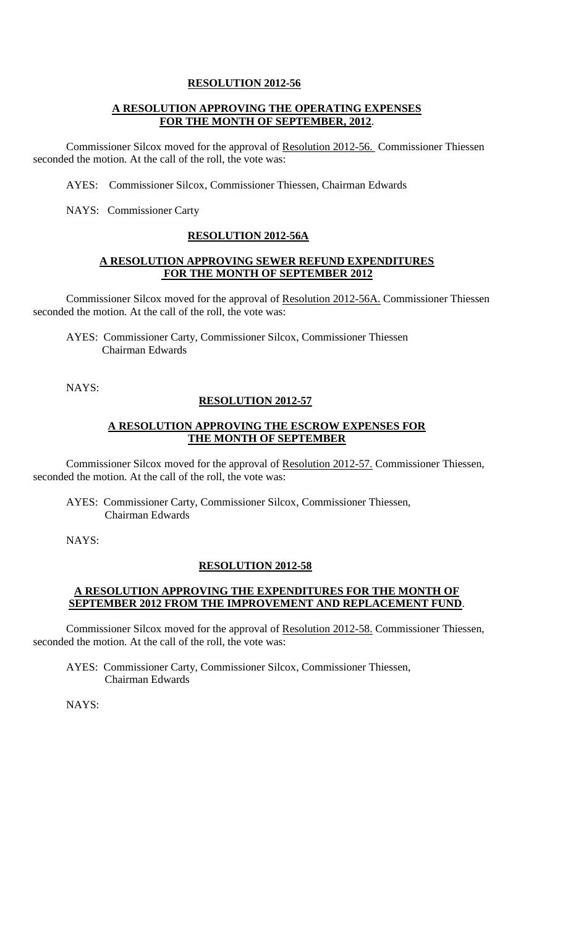## **RESOLUTION 2012-56**

# **A RESOLUTION APPROVING THE OPERATING EXPENSES FOR THE MONTH OF SEPTEMBER, 2012**.

Commissioner Silcox moved for the approval of Resolution 2012-56. Commissioner Thiessen seconded the motion. At the call of the roll, the vote was:

AYES: Commissioner Silcox, Commissioner Thiessen, Chairman Edwards

NAYS: Commissioner Carty

#### **RESOLUTION 2012-56A**

### **A RESOLUTION APPROVING SEWER REFUND EXPENDITURES FOR THE MONTH OF SEPTEMBER 2012**

Commissioner Silcox moved for the approval of Resolution 2012-56A. Commissioner Thiessen seconded the motion. At the call of the roll, the vote was:

AYES: Commissioner Carty, Commissioner Silcox, Commissioner Thiessen Chairman Edwards

NAYS:

#### **RESOLUTION 2012-57**

### **A RESOLUTION APPROVING THE ESCROW EXPENSES FOR THE MONTH OF SEPTEMBER**

Commissioner Silcox moved for the approval of Resolution 2012-57. Commissioner Thiessen, seconded the motion. At the call of the roll, the vote was:

AYES: Commissioner Carty, Commissioner Silcox, Commissioner Thiessen, Chairman Edwards

NAYS:

# **RESOLUTION 2012-58**

# **A RESOLUTION APPROVING THE EXPENDITURES FOR THE MONTH OF SEPTEMBER 2012 FROM THE IMPROVEMENT AND REPLACEMENT FUND**.

Commissioner Silcox moved for the approval of Resolution 2012-58. Commissioner Thiessen, seconded the motion. At the call of the roll, the vote was:

AYES: Commissioner Carty, Commissioner Silcox, Commissioner Thiessen, Chairman Edwards

NAYS: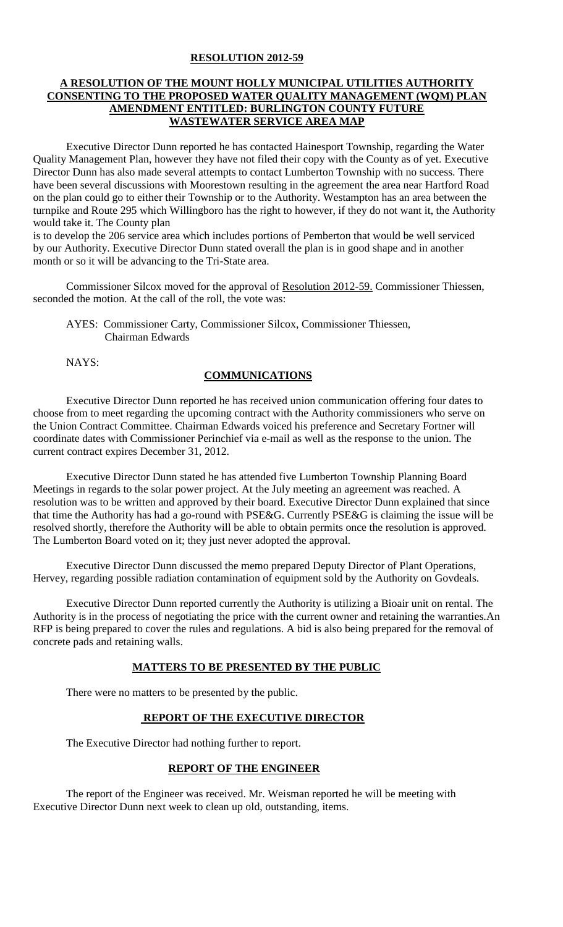### **RESOLUTION 2012-59**

# **A RESOLUTION OF THE MOUNT HOLLY MUNICIPAL UTILITIES AUTHORITY CONSENTING TO THE PROPOSED WATER QUALITY MANAGEMENT (WQM) PLAN AMENDMENT ENTITLED: BURLINGTON COUNTY FUTURE WASTEWATER SERVICE AREA MAP**

Executive Director Dunn reported he has contacted Hainesport Township, regarding the Water Quality Management Plan, however they have not filed their copy with the County as of yet. Executive Director Dunn has also made several attempts to contact Lumberton Township with no success. There have been several discussions with Moorestown resulting in the agreement the area near Hartford Road on the plan could go to either their Township or to the Authority. Westampton has an area between the turnpike and Route 295 which Willingboro has the right to however, if they do not want it, the Authority would take it. The County plan

is to develop the 206 service area which includes portions of Pemberton that would be well serviced by our Authority. Executive Director Dunn stated overall the plan is in good shape and in another month or so it will be advancing to the Tri-State area.

Commissioner Silcox moved for the approval of Resolution 2012-59. Commissioner Thiessen, seconded the motion. At the call of the roll, the vote was:

AYES: Commissioner Carty, Commissioner Silcox, Commissioner Thiessen, Chairman Edwards

NAYS:

# **COMMUNICATIONS**

Executive Director Dunn reported he has received union communication offering four dates to choose from to meet regarding the upcoming contract with the Authority commissioners who serve on the Union Contract Committee. Chairman Edwards voiced his preference and Secretary Fortner will coordinate dates with Commissioner Perinchief via e-mail as well as the response to the union. The current contract expires December 31, 2012.

Executive Director Dunn stated he has attended five Lumberton Township Planning Board Meetings in regards to the solar power project. At the July meeting an agreement was reached. A resolution was to be written and approved by their board. Executive Director Dunn explained that since that time the Authority has had a go-round with PSE&G. Currently PSE&G is claiming the issue will be resolved shortly, therefore the Authority will be able to obtain permits once the resolution is approved. The Lumberton Board voted on it; they just never adopted the approval.

Executive Director Dunn discussed the memo prepared Deputy Director of Plant Operations, Hervey, regarding possible radiation contamination of equipment sold by the Authority on Govdeals.

Executive Director Dunn reported currently the Authority is utilizing a Bioair unit on rental. The Authority is in the process of negotiating the price with the current owner and retaining the warranties.An RFP is being prepared to cover the rules and regulations. A bid is also being prepared for the removal of concrete pads and retaining walls.

#### **MATTERS TO BE PRESENTED BY THE PUBLIC**

There were no matters to be presented by the public.

# **REPORT OF THE EXECUTIVE DIRECTOR**

The Executive Director had nothing further to report.

#### **REPORT OF THE ENGINEER**

The report of the Engineer was received. Mr. Weisman reported he will be meeting with Executive Director Dunn next week to clean up old, outstanding, items.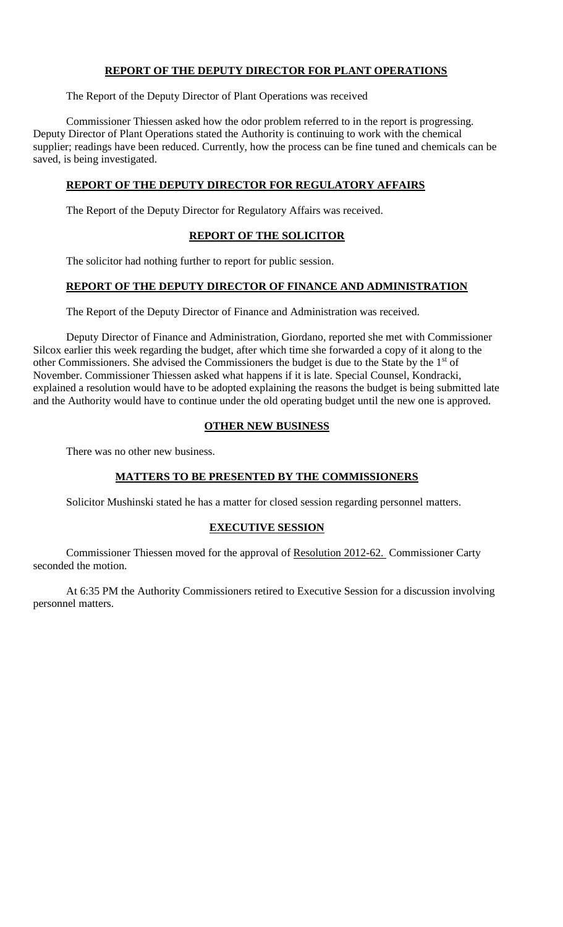# **REPORT OF THE DEPUTY DIRECTOR FOR PLANT OPERATIONS**

The Report of the Deputy Director of Plant Operations was received

Commissioner Thiessen asked how the odor problem referred to in the report is progressing. Deputy Director of Plant Operations stated the Authority is continuing to work with the chemical supplier; readings have been reduced. Currently, how the process can be fine tuned and chemicals can be saved, is being investigated.

# **REPORT OF THE DEPUTY DIRECTOR FOR REGULATORY AFFAIRS**

The Report of the Deputy Director for Regulatory Affairs was received.

# **REPORT OF THE SOLICITOR**

The solicitor had nothing further to report for public session.

# **REPORT OF THE DEPUTY DIRECTOR OF FINANCE AND ADMINISTRATION**

The Report of the Deputy Director of Finance and Administration was received.

Deputy Director of Finance and Administration, Giordano, reported she met with Commissioner Silcox earlier this week regarding the budget, after which time she forwarded a copy of it along to the other Commissioners. She advised the Commissioners the budget is due to the State by the 1<sup>st</sup> of November. Commissioner Thiessen asked what happens if it is late. Special Counsel, Kondracki, explained a resolution would have to be adopted explaining the reasons the budget is being submitted late and the Authority would have to continue under the old operating budget until the new one is approved.

# **OTHER NEW BUSINESS**

There was no other new business.

# **MATTERS TO BE PRESENTED BY THE COMMISSIONERS**

Solicitor Mushinski stated he has a matter for closed session regarding personnel matters.

# **EXECUTIVE SESSION**

Commissioner Thiessen moved for the approval of Resolution 2012-62. Commissioner Carty seconded the motion.

At 6:35 PM the Authority Commissioners retired to Executive Session for a discussion involving personnel matters.